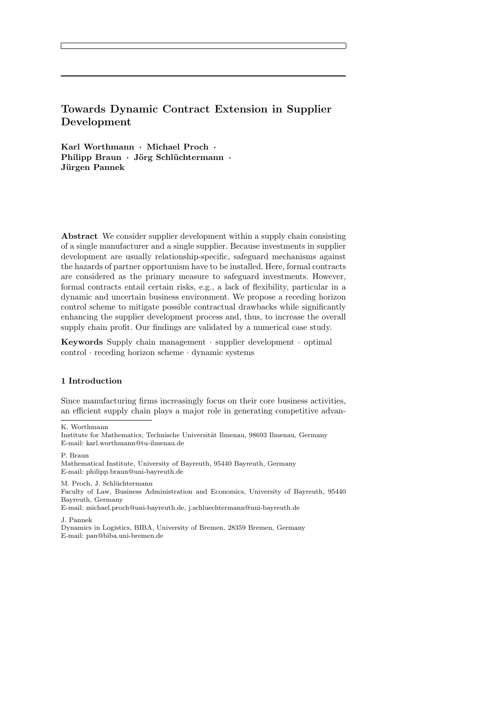# Towards Dynamic Contract Extension in Supplier Development

Karl Worthmann · Michael Proch · Philipp Braun · Jörg Schlüchtermann · Jürgen Pannek

Abstract We consider supplier development within a supply chain consisting of a single manufacturer and a single supplier. Because investments in supplier development are usually relationship-specific, safeguard mechanisms against the hazards of partner opportunism have to be installed. Here, formal contracts are considered as the primary measure to safeguard investments. However, formal contracts entail certain risks, e.g., a lack of flexibility, particular in a dynamic and uncertain business environment. We propose a receding horizon control scheme to mitigate possible contractual drawbacks while significantly enhancing the supplier development process and, thus, to increase the overall supply chain profit. Our findings are validated by a numerical case study.

Keywords Supply chain management · supplier development · optimal control · receding horizon scheme · dynamic systems

#### 1 Introduction

Since manufacturing firms increasingly focus on their core business activities, an efficient supply chain plays a major role in generating competitive advan-

K. Worthmann

P. Braun

Mathematical Institute, University of Bayreuth, 95440 Bayreuth, Germany E-mail: philipp.braun@uni-bayreuth.de

M. Proch, J. Schlüchtermann

Faculty of Law, Business Administration and Economics, University of Bayreuth, 95440 Bayreuth, Germany

E-mail: michael.proch@uni-bayreuth.de, j.schluechtermann@uni-bayreuth.de

J. Pannek

Dynamics in Logistics, BIBA, University of Bremen, 28359 Bremen, Germany E-mail: pan@biba.uni-bremen.de

Institute for Mathematics, Technische Universität Ilmenau, 98693 Ilmenau, Germany E-mail: karl.worthmann@tu-ilmenau.de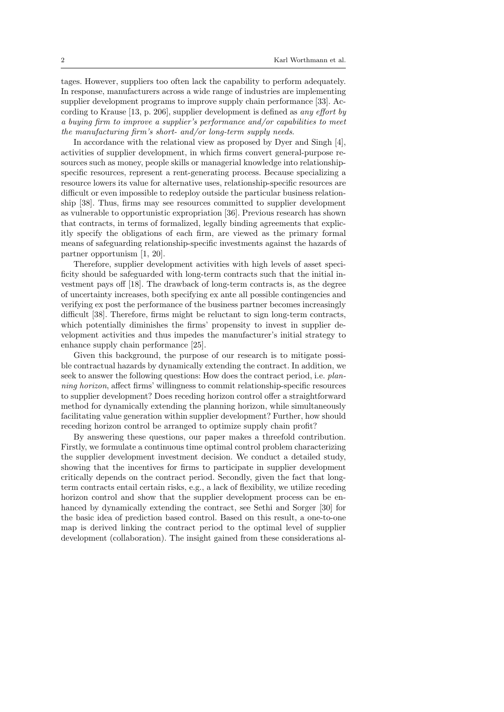tages. However, suppliers too often lack the capability to perform adequately. In response, manufacturers across a wide range of industries are implementing supplier development programs to improve supply chain performance [33]. According to Krause [13, p. 206], supplier development is defined as *any effort by* a buying firm to improve a supplier's performance and/or capabilities to meet the manufacturing firm's short- and/or long-term supply needs.

In accordance with the relational view as proposed by Dyer and Singh [4], activities of supplier development, in which firms convert general-purpose resources such as money, people skills or managerial knowledge into relationshipspecific resources, represent a rent-generating process. Because specializing a resource lowers its value for alternative uses, relationship-specific resources are difficult or even impossible to redeploy outside the particular business relationship [38]. Thus, firms may see resources committed to supplier development as vulnerable to opportunistic expropriation [36]. Previous research has shown that contracts, in terms of formalized, legally binding agreements that explicitly specify the obligations of each firm, are viewed as the primary formal means of safeguarding relationship-specific investments against the hazards of partner opportunism [1, 20].

Therefore, supplier development activities with high levels of asset specificity should be safeguarded with long-term contracts such that the initial investment pays off [18]. The drawback of long-term contracts is, as the degree of uncertainty increases, both specifying ex ante all possible contingencies and verifying ex post the performance of the business partner becomes increasingly difficult [38]. Therefore, firms might be reluctant to sign long-term contracts, which potentially diminishes the firms' propensity to invest in supplier development activities and thus impedes the manufacturer's initial strategy to enhance supply chain performance [25].

Given this background, the purpose of our research is to mitigate possible contractual hazards by dynamically extending the contract. In addition, we seek to answer the following questions: How does the contract period, i.e. *plan*ning horizon, affect firms' willingness to commit relationship-specific resources to supplier development? Does receding horizon control offer a straightforward method for dynamically extending the planning horizon, while simultaneously facilitating value generation within supplier development? Further, how should receding horizon control be arranged to optimize supply chain profit?

By answering these questions, our paper makes a threefold contribution. Firstly, we formulate a continuous time optimal control problem characterizing the supplier development investment decision. We conduct a detailed study, showing that the incentives for firms to participate in supplier development critically depends on the contract period. Secondly, given the fact that longterm contracts entail certain risks, e.g., a lack of flexibility, we utilize receding horizon control and show that the supplier development process can be enhanced by dynamically extending the contract, see Sethi and Sorger [30] for the basic idea of prediction based control. Based on this result, a one-to-one map is derived linking the contract period to the optimal level of supplier development (collaboration). The insight gained from these considerations al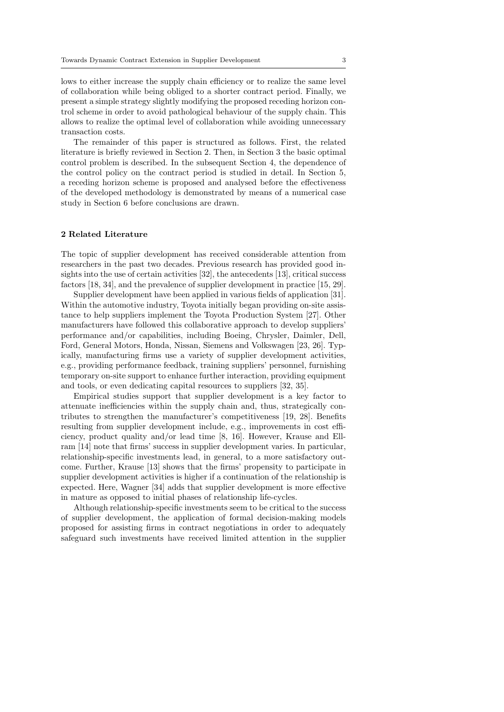lows to either increase the supply chain efficiency or to realize the same level of collaboration while being obliged to a shorter contract period. Finally, we present a simple strategy slightly modifying the proposed receding horizon control scheme in order to avoid pathological behaviour of the supply chain. This allows to realize the optimal level of collaboration while avoiding unnecessary transaction costs.

The remainder of this paper is structured as follows. First, the related literature is briefly reviewed in Section 2. Then, in Section 3 the basic optimal control problem is described. In the subsequent Section 4, the dependence of the control policy on the contract period is studied in detail. In Section 5, a receding horizon scheme is proposed and analysed before the effectiveness of the developed methodology is demonstrated by means of a numerical case study in Section 6 before conclusions are drawn.

## 2 Related Literature

The topic of supplier development has received considerable attention from researchers in the past two decades. Previous research has provided good insights into the use of certain activities [32], the antecedents [13], critical success factors [18, 34], and the prevalence of supplier development in practice [15, 29].

Supplier development have been applied in various fields of application [31]. Within the automotive industry, Toyota initially began providing on-site assistance to help suppliers implement the Toyota Production System [27]. Other manufacturers have followed this collaborative approach to develop suppliers' performance and/or capabilities, including Boeing, Chrysler, Daimler, Dell, Ford, General Motors, Honda, Nissan, Siemens and Volkswagen [23, 26]. Typically, manufacturing firms use a variety of supplier development activities, e.g., providing performance feedback, training suppliers' personnel, furnishing temporary on-site support to enhance further interaction, providing equipment and tools, or even dedicating capital resources to suppliers [32, 35].

Empirical studies support that supplier development is a key factor to attenuate inefficiencies within the supply chain and, thus, strategically contributes to strengthen the manufacturer's competitiveness [19, 28]. Benefits resulting from supplier development include, e.g., improvements in cost efficiency, product quality and/or lead time [8, 16]. However, Krause and Ellram [14] note that firms' success in supplier development varies. In particular, relationship-specific investments lead, in general, to a more satisfactory outcome. Further, Krause [13] shows that the firms' propensity to participate in supplier development activities is higher if a continuation of the relationship is expected. Here, Wagner [34] adds that supplier development is more effective in mature as opposed to initial phases of relationship life-cycles.

Although relationship-specific investments seem to be critical to the success of supplier development, the application of formal decision-making models proposed for assisting firms in contract negotiations in order to adequately safeguard such investments have received limited attention in the supplier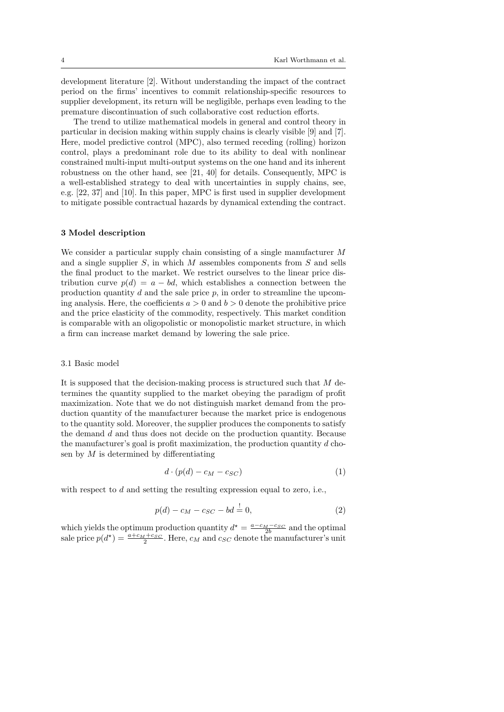development literature [2]. Without understanding the impact of the contract period on the firms' incentives to commit relationship-specific resources to supplier development, its return will be negligible, perhaps even leading to the premature discontinuation of such collaborative cost reduction efforts.

The trend to utilize mathematical models in general and control theory in particular in decision making within supply chains is clearly visible [9] and [7]. Here, model predictive control (MPC), also termed receding (rolling) horizon control, plays a predominant role due to its ability to deal with nonlinear constrained multi-input multi-output systems on the one hand and its inherent robustness on the other hand, see [21, 40] for details. Consequently, MPC is a well-established strategy to deal with uncertainties in supply chains, see, e.g. [22, 37] and [10]. In this paper, MPC is first used in supplier development to mitigate possible contractual hazards by dynamical extending the contract.

## 3 Model description

We consider a particular supply chain consisting of a single manufacturer M and a single supplier  $S$ , in which  $M$  assembles components from  $S$  and sells the final product to the market. We restrict ourselves to the linear price distribution curve  $p(d) = a - bd$ , which establishes a connection between the production quantity  $d$  and the sale price  $p$ , in order to streamline the upcoming analysis. Here, the coefficients  $a > 0$  and  $b > 0$  denote the prohibitive price and the price elasticity of the commodity, respectively. This market condition is comparable with an oligopolistic or monopolistic market structure, in which a firm can increase market demand by lowering the sale price.

#### 3.1 Basic model

It is supposed that the decision-making process is structured such that  $M$  determines the quantity supplied to the market obeying the paradigm of profit maximization. Note that we do not distinguish market demand from the production quantity of the manufacturer because the market price is endogenous to the quantity sold. Moreover, the supplier produces the components to satisfy the demand d and thus does not decide on the production quantity. Because the manufacturer's goal is profit maximization, the production quantity  $d$  chosen by  $M$  is determined by differentiating

$$
d \cdot (p(d) - c_M - c_{SC}) \tag{1}
$$

with respect to  $d$  and setting the resulting expression equal to zero, i.e.,

$$
p(d) - c_M - c_{SC} - bd = 0,
$$
\n(2)

which yields the optimum production quantity  $d^* = \frac{a - c_M - c_{SC}}{2b}$  and the optimal sale price  $p(d^*) = \frac{a+c_M+c_S}{2}$ . Here,  $c_M$  and  $c_{SC}$  denote the manufacturer's unit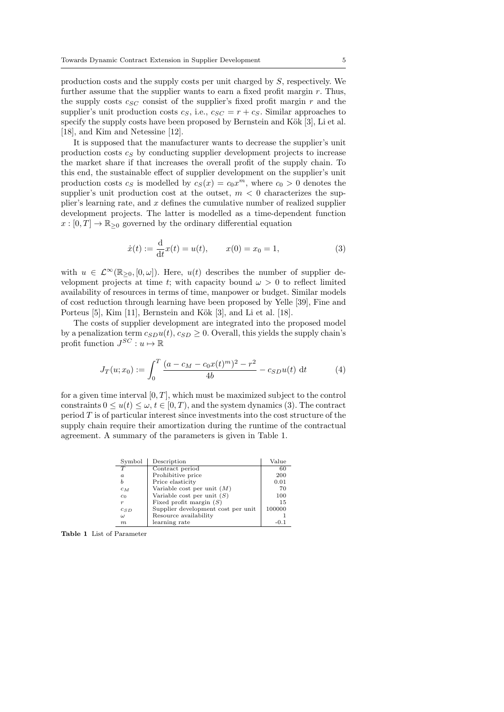production costs and the supply costs per unit charged by S, respectively. We further assume that the supplier wants to earn a fixed profit margin  $r$ . Thus, the supply costs  $c_{SC}$  consist of the supplier's fixed profit margin r and the supplier's unit production costs  $c_S$ , i.e.,  $c_{SC} = r + c_S$ . Similar approaches to specify the supply costs have been proposed by Bernstein and Kök  $[3]$ , Li et al. [18], and Kim and Netessine [12].

It is supposed that the manufacturer wants to decrease the supplier's unit production costs  $c_S$  by conducting supplier development projects to increase the market share if that increases the overall profit of the supply chain. To this end, the sustainable effect of supplier development on the supplier's unit production costs  $c_S$  is modelled by  $c_S(x) = c_0 x^m$ , where  $c_0 > 0$  denotes the supplier's unit production cost at the outset,  $m < 0$  characterizes the supplier's learning rate, and  $x$  defines the cumulative number of realized supplier development projects. The latter is modelled as a time-dependent function  $x : [0, T] \to \mathbb{R}_{\geq 0}$  governed by the ordinary differential equation

$$
\dot{x}(t) := \frac{d}{dt}x(t) = u(t), \qquad x(0) = x_0 = 1,\tag{3}
$$

with  $u \in \mathcal{L}^{\infty}(\mathbb{R}_{>0}, [0, \omega])$ . Here,  $u(t)$  describes the number of supplier development projects at time t; with capacity bound  $\omega > 0$  to reflect limited availability of resources in terms of time, manpower or budget. Similar models of cost reduction through learning have been proposed by Yelle [39], Fine and Porteus [5], Kim [11], Bernstein and Kök [3], and Li et al. [18].

The costs of supplier development are integrated into the proposed model by a penalization term  $c_{SD}u(t)$ ,  $c_{SD} \geq 0$ . Overall, this yields the supply chain's profit function  $J^{SC}: u \mapsto \mathbb{R}$ 

$$
J_T(u; x_0) := \int_0^T \frac{(a - c_M - c_0 x(t)^m)^2 - r^2}{4b} - c_{SD} u(t) dt
$$
 (4)

for a given time interval  $[0, T]$ , which must be maximized subject to the control constraints  $0 \le u(t) \le \omega, t \in [0, T)$ , and the system dynamics (3). The contract period  $T$  is of particular interest since investments into the cost structure of the supply chain require their amortization during the runtime of the contractual agreement. A summary of the parameters is given in Table 1.

| Symbol           | Description                        | Value  |
|------------------|------------------------------------|--------|
| $\overline{T}$   | Contract period                    | 60     |
| $\boldsymbol{a}$ | Prohibitive price                  | 200    |
| b                | Price elasticity                   | 0.01   |
| $c_M$            | Variable cost per unit $(M)$       | 70     |
| $c_0$            | Variable cost per unit $(S)$       | 100    |
| $\boldsymbol{r}$ | Fixed profit margin $(S)$          | 15     |
| $c_{SD}$         | Supplier development cost per unit | 100000 |
| ω                | Resource availability              |        |
| m                | learning rate                      | -0.1   |

Table 1 List of Parameter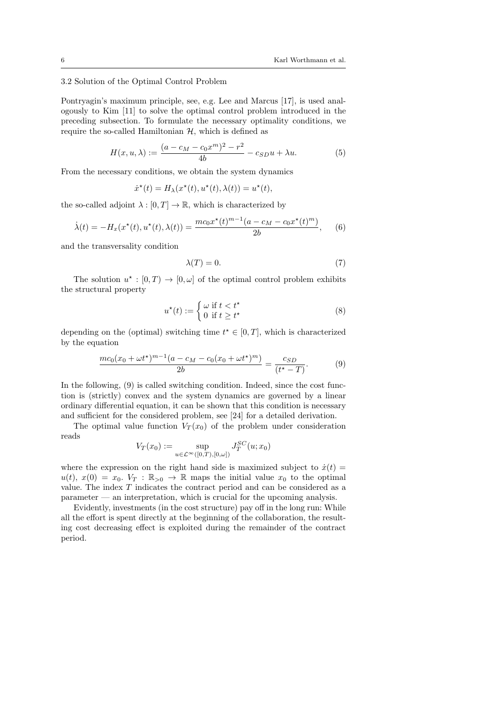# 3.2 Solution of the Optimal Control Problem

Pontryagin's maximum principle, see, e.g. Lee and Marcus [17], is used analogously to Kim [11] to solve the optimal control problem introduced in the preceding subsection. To formulate the necessary optimality conditions, we require the so-called Hamiltonian  $H$ , which is defined as

$$
H(x, u, \lambda) := \frac{(a - c_M - c_0 x^m)^2 - r^2}{4b} - c_{SD} u + \lambda u.
$$
 (5)

From the necessary conditions, we obtain the system dynamics

$$
\dot{x}^*(t) = H_{\lambda}(x^*(t), u^*(t), \lambda(t)) = u^*(t),
$$

the so-called adjoint  $\lambda : [0, T] \to \mathbb{R}$ , which is characterized by

$$
\dot{\lambda}(t) = -H_x(x^*(t), u^*(t), \lambda(t)) = \frac{mc_0x^*(t)^{m-1}(a - c_M - c_0x^*(t)^m)}{2b}, \quad (6)
$$

and the transversality condition

$$
\lambda(T) = 0.\tag{7}
$$

The solution  $u^*: [0,T) \to [0,\omega]$  of the optimal control problem exhibits the structural property

$$
u^*(t) := \begin{cases} \omega \text{ if } t < t^* \\ 0 \text{ if } t \ge t^* \end{cases}
$$
 (8)

depending on the (optimal) switching time  $t^* \in [0,T]$ , which is characterized by the equation

$$
\frac{mc_0(x_0 + \omega t^*)^{m-1}(a - c_M - c_0(x_0 + \omega t^*)^m)}{2b} = \frac{c_{SD}}{(t^* - T)}.
$$
\n(9)

In the following, (9) is called switching condition. Indeed, since the cost function is (strictly) convex and the system dynamics are governed by a linear ordinary differential equation, it can be shown that this condition is necessary and sufficient for the considered problem, see [24] for a detailed derivation.

The optimal value function  $V_T(x_0)$  of the problem under consideration reads

$$
V_T(x_0) := \sup_{u \in \mathcal{L}^{\infty}([0,T),[0,\omega])} J_T^{SC}(u;x_0)
$$

where the expression on the right hand side is maximized subject to  $\dot{x}(t)$  =  $u(t), x(0) = x_0$ .  $V_T : \mathbb{R}_{>0} \to \mathbb{R}$  maps the initial value  $x_0$  to the optimal value. The index T indicates the contract period and can be considered as a parameter — an interpretation, which is crucial for the upcoming analysis.

Evidently, investments (in the cost structure) pay off in the long run: While all the effort is spent directly at the beginning of the collaboration, the resulting cost decreasing effect is exploited during the remainder of the contract period.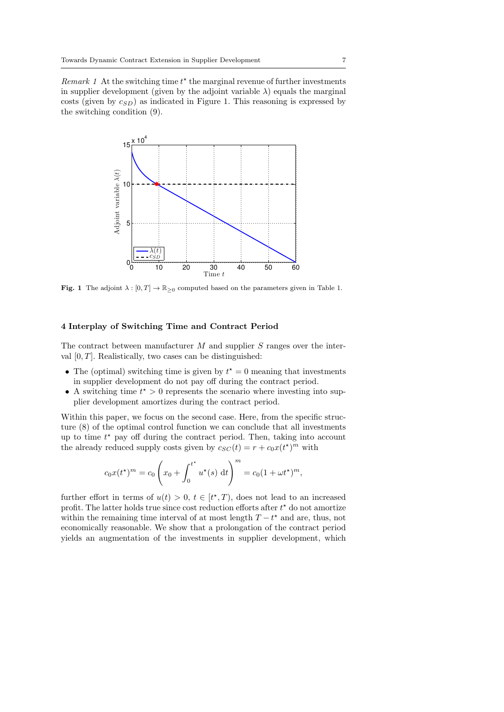Remark 1 At the switching time  $t^*$  the marginal revenue of further investments in supplier development (given by the adjoint variable  $\lambda$ ) equals the marginal costs (given by  $c_{SD}$ ) as indicated in Figure 1. This reasoning is expressed by the switching condition (9).



**Fig. 1** The adjoint  $\lambda : [0, T] \to \mathbb{R}_{\geq 0}$  computed based on the parameters given in Table 1.

# 4 Interplay of Switching Time and Contract Period

The contract between manufacturer  $M$  and supplier  $S$  ranges over the interval  $[0, T]$ . Realistically, two cases can be distinguished:

- The (optimal) switching time is given by  $t^* = 0$  meaning that investments in supplier development do not pay off during the contract period.
- A switching time  $t^* > 0$  represents the scenario where investing into supplier development amortizes during the contract period.

Within this paper, we focus on the second case. Here, from the specific structure (8) of the optimal control function we can conclude that all investments up to time  $t^*$  pay off during the contract period. Then, taking into account the already reduced supply costs given by  $c_{SC}(t) = r + c_0 x(t^*)^m$  with

$$
c_0 x(t^*)^m = c_0 \left(x_0 + \int_0^{t^*} u^*(s) dt\right)^m = c_0 (1 + \omega t^*)^m,
$$

further effort in terms of  $u(t) > 0$ ,  $t \in [t^*, T)$ , does not lead to an increased profit. The latter holds true since cost reduction efforts after  $t^*$  do not amortize within the remaining time interval of at most length  $T - t^*$  and are, thus, not economically reasonable. We show that a prolongation of the contract period yields an augmentation of the investments in supplier development, which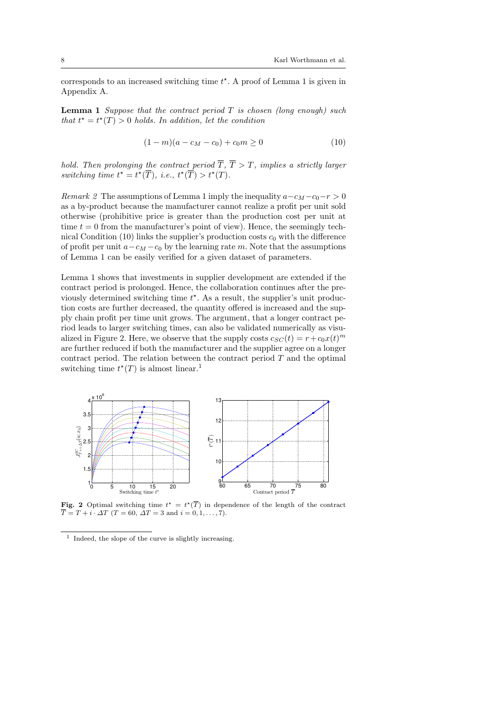corresponds to an increased switching time  $t^*$ . A proof of Lemma 1 is given in Appendix A.

**Lemma 1** Suppose that the contract period  $T$  is chosen (long enough) such that  $t^* = t^*(T) > 0$  holds. In addition, let the condition

$$
(1 - m)(a - cM - c0) + c0m \ge 0
$$
\n(10)

hold. Then prolonging the contract period  $\overline{T}$ ,  $\overline{T} > T$ , implies a strictly larger switching time  $t^* = t^*(\overline{T}), i.e., t^*(\overline{T}) > t^*(T).$ 

Remark 2 The assumptions of Lemma 1 imply the inequality  $a-c_M-c_0-r > 0$ as a by-product because the manufacturer cannot realize a profit per unit sold otherwise (prohibitive price is greater than the production cost per unit at time  $t = 0$  from the manufacturer's point of view). Hence, the seemingly technical Condition (10) links the supplier's production costs  $c_0$  with the difference of profit per unit  $a - c_M - c_0$  by the learning rate m. Note that the assumptions of Lemma 1 can be easily verified for a given dataset of parameters.

Lemma 1 shows that investments in supplier development are extended if the contract period is prolonged. Hence, the collaboration continues after the previously determined switching time  $t^*$ . As a result, the supplier's unit production costs are further decreased, the quantity offered is increased and the supply chain profit per time unit grows. The argument, that a longer contract period leads to larger switching times, can also be validated numerically as visualized in Figure 2. Here, we observe that the supply costs  $c_{SC}(t) = r + c_0x(t)^m$ are further reduced if both the manufacturer and the supplier agree on a longer contract period. The relation between the contract period  $T$  and the optimal switching time  $t^*(T)$  is almost linear.<sup>1</sup>



Fig. 2 Optimal switching time  $t^* = t^*(\overline{T})$  in dependence of the length of the contract  $\overline{T} = T + i \cdot \Delta T$  (T = 60,  $\overline{\Delta T} = 3$  and  $i = 0, 1, \ldots, 7$ ).

<sup>1</sup> Indeed, the slope of the curve is slightly increasing.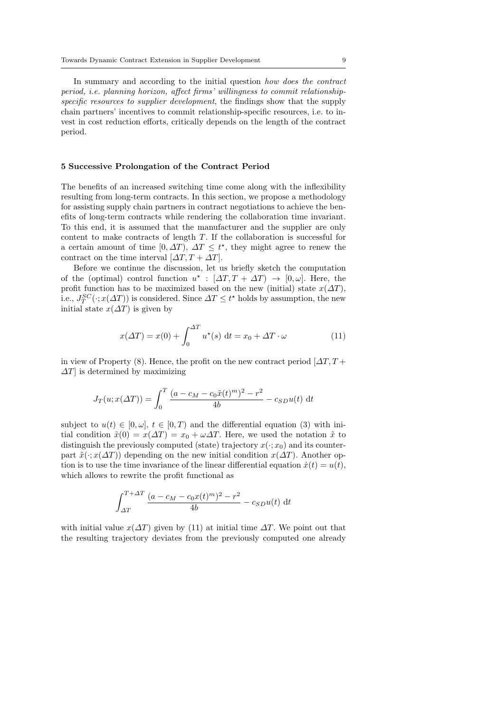In summary and according to the initial question how does the contract period, i.e. planning horizon, affect firms' willingness to commit relationshipspecific resources to supplier development, the findings show that the supply chain partners' incentives to commit relationship-specific resources, i.e. to invest in cost reduction efforts, critically depends on the length of the contract period.

## 5 Successive Prolongation of the Contract Period

The benefits of an increased switching time come along with the inflexibility resulting from long-term contracts. In this section, we propose a methodology for assisting supply chain partners in contract negotiations to achieve the benefits of long-term contracts while rendering the collaboration time invariant. To this end, it is assumed that the manufacturer and the supplier are only content to make contracts of length T. If the collaboration is successful for a certain amount of time [0,  $\Delta T$ ],  $\Delta T \leq t^*$ , they might agree to renew the contract on the time interval  $[\Delta T, T + \Delta T]$ .

Before we continue the discussion, let us briefly sketch the computation of the (optimal) control function  $u^* : [\Delta T, T + \Delta T] \rightarrow [0, \omega]$ . Here, the profit function has to be maximized based on the new (initial) state  $x(\Delta T)$ , i.e.,  $J_T^{SC}(\cdot; x(\Delta T))$  is considered. Since  $\Delta T \leq t^*$  holds by assumption, the new initial state  $x(\Delta T)$  is given by

$$
x(\Delta T) = x(0) + \int_0^{\Delta T} u^\star(s) dt = x_0 + \Delta T \cdot \omega \tag{11}
$$

in view of Property (8). Hence, the profit on the new contract period  $[\Delta T, T +$  $\Delta T$  is determined by maximizing

$$
J_T(u; x(\Delta T)) = \int_0^T \frac{(a - c_M - c_0 \tilde{x}(t)^m)^2 - r^2}{4b} - c_{SD} u(t) dt
$$

subject to  $u(t) \in [0, \omega], t \in [0, T)$  and the differential equation (3) with initial condition  $\tilde{x}(0) = x(\Delta T) = x_0 + \omega \Delta T$ . Here, we used the notation  $\tilde{x}$  to distinguish the previously computed (state) trajectory  $x(\cdot; x_0)$  and its counterpart  $\tilde{x}(\cdot; x(\Delta T))$  depending on the new initial condition  $x(\Delta T)$ . Another option is to use the time invariance of the linear differential equation  $\dot{x}(t) = u(t)$ , which allows to rewrite the profit functional as

$$
\int_{\Delta T}^{T+\Delta T} \frac{(a - c_M - c_0 x(t)^m)^2 - r^2}{4b} - c_{SD} u(t) dt
$$

with initial value  $x(\Delta T)$  given by (11) at initial time  $\Delta T$ . We point out that the resulting trajectory deviates from the previously computed one already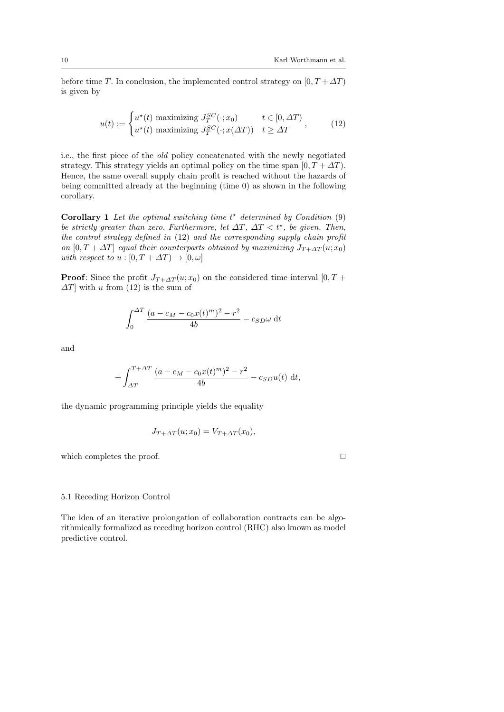before time T. In conclusion, the implemented control strategy on  $[0, T + \Delta T)$ is given by

$$
u(t) := \begin{cases} u^*(t) \text{ maximizing } J_T^{SC}(\cdot; x_0) & t \in [0, \Delta T) \\ u^*(t) \text{ maximizing } J_T^{SC}(\cdot; x(\Delta T)) & t \ge \Delta T \end{cases}, \tag{12}
$$

i.e., the first piece of the old policy concatenated with the newly negotiated strategy. This strategy yields an optimal policy on the time span  $[0, T + \Delta T)$ . Hence, the same overall supply chain profit is reached without the hazards of being committed already at the beginning (time 0) as shown in the following corollary.

**Corollary 1** Let the optimal switching time  $t^*$  determined by Condition  $(9)$ be strictly greater than zero. Furthermore, let  $\Delta T$ ,  $\Delta T < t^*$ , be given. Then, the control strategy defined in (12) and the corresponding supply chain profit on  $[0, T + \Delta T]$  equal their counterparts obtained by maximizing  $J_{T+\Delta T}(u; x_0)$ with respect to  $u : [0, T + \Delta T) \rightarrow [0, \omega]$ 

**Proof:** Since the profit  $J_{T+\Delta T}(u; x_0)$  on the considered time interval [0, T +  $\Delta T$ ] with u from (12) is the sum of

$$
\int_0^{\Delta T} \frac{(a - c_M - c_0 x(t)^m)^2 - r^2}{4b} - c_{SD}\omega \, dt
$$

and

$$
+\int_{\Delta T}^{T+\Delta T} \frac{(a-c_M-c_0x(t)^m)^2 - r^2}{4b} - c_{SD}u(t) dt,
$$

the dynamic programming principle yields the equality

$$
J_{T+\Delta T}(u; x_0) = V_{T+\Delta T}(x_0),
$$

which completes the proof.  $\Box$ 

## 5.1 Receding Horizon Control

The idea of an iterative prolongation of collaboration contracts can be algorithmically formalized as receding horizon control (RHC) also known as model predictive control.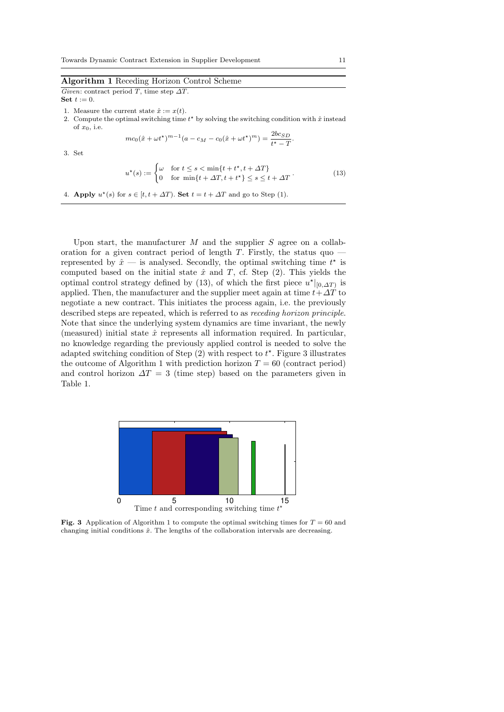# Algorithm 1 Receding Horizon Control Scheme

Given: contract period T, time step  $\Delta T$ . Set  $t := 0$ .

- 1. Measure the current state  $\hat{x} := x(t)$ .
- 2. Compute the optimal switching time  $t^*$  by solving the switching condition with  $\hat{x}$  instead of  $x_0$ , i.e.

$$
mc_0(\hat{x} + \omega t^*)^{m-1}(a - c_M - c_0(\hat{x} + \omega t^*)^m) = \frac{2bc_{SD}}{t^* - T}
$$

3. Set

$$
u^*(s) := \begin{cases} \omega & \text{for } t \le s < \min\{t + t^*, t + \Delta T\} \\ 0 & \text{for } \min\{t + \Delta T, t + t^*\} \le s \le t + \Delta T \end{cases} \tag{13}
$$

.

4. Apply  $u^*(s)$  for  $s \in [t, t + \Delta T)$ . Set  $t = t + \Delta T$  and go to Step (1).

Upon start, the manufacturer  $M$  and the supplier  $S$  agree on a collaboration for a given contract period of length  $T$ . Firstly, the status quo  $$ represented by  $\hat{x}$  — is analysed. Secondly, the optimal switching time  $t^*$  is computed based on the initial state  $\hat{x}$  and T, cf. Step (2). This yields the optimal control strategy defined by (13), of which the first piece  $u^*|_{[0,\Delta T]}$  is applied. Then, the manufacturer and the supplier meet again at time  $t+\Delta T$  to negotiate a new contract. This initiates the process again, i.e. the previously described steps are repeated, which is referred to as receding horizon principle. Note that since the underlying system dynamics are time invariant, the newly (measured) initial state  $\hat{x}$  represents all information required. In particular, no knowledge regarding the previously applied control is needed to solve the adapted switching condition of Step  $(2)$  with respect to  $t^*$ . Figure 3 illustrates the outcome of Algorithm 1 with prediction horizon  $T = 60$  (contract period) and control horizon  $\Delta T = 3$  (time step) based on the parameters given in Table 1.



**Fig. 3** Application of Algorithm 1 to compute the optimal switching times for  $T = 60$  and changing initial conditions  $\hat{x}$ . The lengths of the collaboration intervals are decreasing.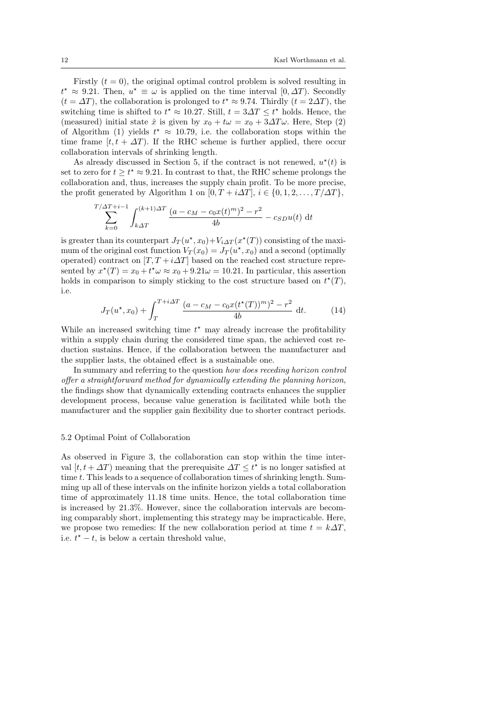Firstly  $(t = 0)$ , the original optimal control problem is solved resulting in  $t^* \approx 9.21$ . Then,  $u^* \equiv \omega$  is applied on the time interval  $[0, \Delta T)$ . Secondly  $(t = \Delta T)$ , the collaboration is prolonged to  $t^* \approx 9.74$ . Thirdly  $(t = 2\Delta T)$ , the switching time is shifted to  $t^* \approx 10.27$ . Still,  $t = 3\Delta T \leq t^*$  holds. Hence, the (measured) initial state  $\hat{x}$  is given by  $x_0 + t\omega = x_0 + 3\Delta T\omega$ . Here, Step (2) of Algorithm (1) yields  $t^* \approx 10.79$ , i.e. the collaboration stops within the time frame  $[t, t + \Delta T]$ . If the RHC scheme is further applied, there occur collaboration intervals of shrinking length.

As already discussed in Section 5, if the contract is not renewed,  $u^*(t)$  is set to zero for  $t \geq t^* \approx 9.21$ . In contrast to that, the RHC scheme prolongs the collaboration and, thus, increases the supply chain profit. To be more precise, the profit generated by Algorithm 1 on  $[0, T + i\Delta T]$ ,  $i \in \{0, 1, 2, \ldots, T/\Delta T\}$ ,

$$
\sum_{k=0}^{T/\Delta T + i - 1} \int_{k\Delta T}^{(k+1)\Delta T} \frac{(a - c_M - c_0 x(t)^m)^2 - r^2}{4b} - c_{SD} u(t) dt
$$

is greater than its counterpart  $J_T(u^*, x_0) + V_{i\Delta T}(x^*(T))$  consisting of the maximum of the original cost function  $V_T(x_0) = J_T(u^*, x_0)$  and a second (optimally operated) contract on  $[T, T + i\Delta T]$  based on the reached cost structure represented by  $x^*(T) = x_0 + t^*\omega \approx x_0 + 9.21\omega = 10.21$ . In particular, this assertion holds in comparison to simply sticking to the cost structure based on  $t^*(T)$ , i.e.

$$
J_T(u^*, x_0) + \int_T^{T+i\Delta T} \frac{(a - c_M - c_0 x (t^*(T))^m)^2 - r^2}{4b} dt.
$$
 (14)

While an increased switching time  $t^*$  may already increase the profitability within a supply chain during the considered time span, the achieved cost reduction sustains. Hence, if the collaboration between the manufacturer and the supplier lasts, the obtained effect is a sustainable one.

In summary and referring to the question how does receding horizon control offer a straightforward method for dynamically extending the planning horizon, the findings show that dynamically extending contracts enhances the supplier development process, because value generation is facilitated while both the manufacturer and the supplier gain flexibility due to shorter contract periods.

## 5.2 Optimal Point of Collaboration

As observed in Figure 3, the collaboration can stop within the time interval  $[t, t + \Delta T]$  meaning that the prerequisite  $\Delta T \leq t^*$  is no longer satisfied at time t. This leads to a sequence of collaboration times of shrinking length. Summing up all of these intervals on the infinite horizon yields a total collaboration time of approximately 11.18 time units. Hence, the total collaboration time is increased by 21.3%. However, since the collaboration intervals are becoming comparably short, implementing this strategy may be impracticable. Here, we propose two remedies: If the new collaboration period at time  $t = k\Delta T$ , i.e.  $t^* - t$ , is below a certain threshold value,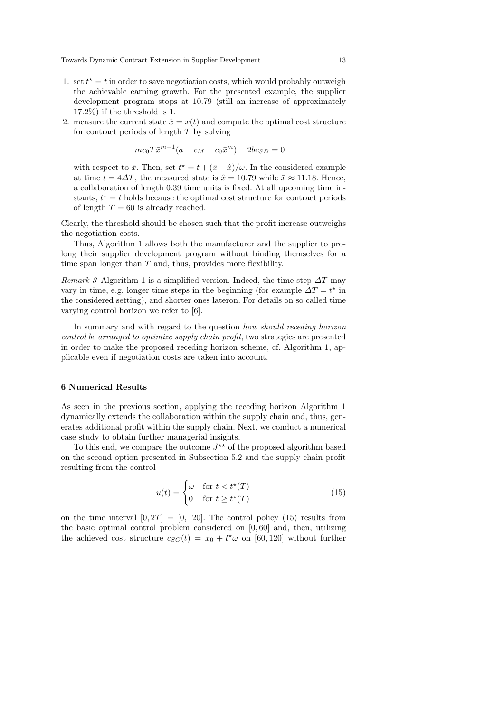- 1. set  $t^* = t$  in order to save negotiation costs, which would probably outweigh the achievable earning growth. For the presented example, the supplier development program stops at 10.79 (still an increase of approximately 17.2%) if the threshold is 1.
- 2. measure the current state  $\hat{x} = x(t)$  and compute the optimal cost structure for contract periods of length T by solving

$$
mc_0T\bar{x}^{m-1}(a - c_M - c_0\bar{x}^m) + 2bc_{SD} = 0
$$

with respect to  $\bar{x}$ . Then, set  $t^* = t + (\bar{x} - \hat{x})/\omega$ . In the considered example at time  $t = 4\Delta T$ , the measured state is  $\hat{x} = 10.79$  while  $\bar{x} \approx 11.18$ . Hence, a collaboration of length 0.39 time units is fixed. At all upcoming time instants,  $t^* = t$  holds because the optimal cost structure for contract periods of length  $T = 60$  is already reached.

Clearly, the threshold should be chosen such that the profit increase outweighs the negotiation costs.

Thus, Algorithm 1 allows both the manufacturer and the supplier to prolong their supplier development program without binding themselves for a time span longer than  $T$  and, thus, provides more flexibility.

Remark 3 Algorithm 1 is a simplified version. Indeed, the time step  $\Delta T$  may vary in time, e.g. longer time steps in the beginning (for example  $\Delta T = t^*$  in the considered setting), and shorter ones lateron. For details on so called time varying control horizon we refer to [6].

In summary and with regard to the question how should receding horizon control be arranged to optimize supply chain profit, two strategies are presented in order to make the proposed receding horizon scheme, cf. Algorithm 1, applicable even if negotiation costs are taken into account.

## 6 Numerical Results

As seen in the previous section, applying the receding horizon Algorithm 1 dynamically extends the collaboration within the supply chain and, thus, generates additional profit within the supply chain. Next, we conduct a numerical case study to obtain further managerial insights.

To this end, we compare the outcome  $J^{\star\star}$  of the proposed algorithm based on the second option presented in Subsection 5.2 and the supply chain profit resulting from the control

$$
u(t) = \begin{cases} \omega & \text{for } t < t^*(T) \\ 0 & \text{for } t \ge t^*(T) \end{cases} \tag{15}
$$

on the time interval  $[0, 2T] = [0, 120]$ . The control policy (15) results from the basic optimal control problem considered on  $[0, 60]$  and, then, utilizing the achieved cost structure  $c_{SC}(t) = x_0 + t^{\star}\omega$  on [60,120] without further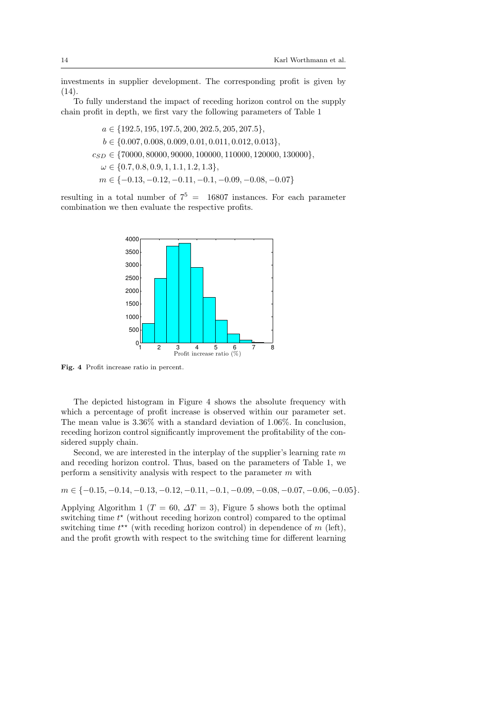investments in supplier development. The corresponding profit is given by  $(14).$ 

To fully understand the impact of receding horizon control on the supply chain profit in depth, we first vary the following parameters of Table 1

> $a \in \{192.5, 195, 197.5, 200, 202.5, 205, 207.5\},\$  $b \in \{0.007, 0.008, 0.009, 0.01, 0.011, 0.012, 0.013\},\$  $c_{SD} \in \{70000, 80000, 90000, 100000, 110000, 120000, 130000\},\$  $\omega \in \{0.7, 0.8, 0.9, 1, 1.1, 1.2, 1.3\},\$  $m \in \{-0.13, -0.12, -0.11, -0.1, -0.09, -0.08, -0.07\}$

resulting in a total number of  $7^5 = 16807$  instances. For each parameter combination we then evaluate the respective profits.



Fig. 4 Profit increase ratio in percent.

The depicted histogram in Figure 4 shows the absolute frequency with which a percentage of profit increase is observed within our parameter set. The mean value is 3.36% with a standard deviation of 1.06%. In conclusion, receding horizon control significantly improvement the profitability of the considered supply chain.

Second, we are interested in the interplay of the supplier's learning rate  $m$ and receding horizon control. Thus, based on the parameters of Table 1, we perform a sensitivity analysis with respect to the parameter  $m$  with

 $m \in \{-0.15, -0.14, -0.13, -0.12, -0.11, -0.1, -0.09, -0.08, -0.07, -0.06, -0.05\}.$ 

Applying Algorithm 1 ( $T = 60$ ,  $\Delta T = 3$ ), Figure 5 shows both the optimal switching time  $t^*$  (without receding horizon control) compared to the optimal switching time  $t^{\star\star}$  (with receding horizon control) in dependence of m (left), and the profit growth with respect to the switching time for different learning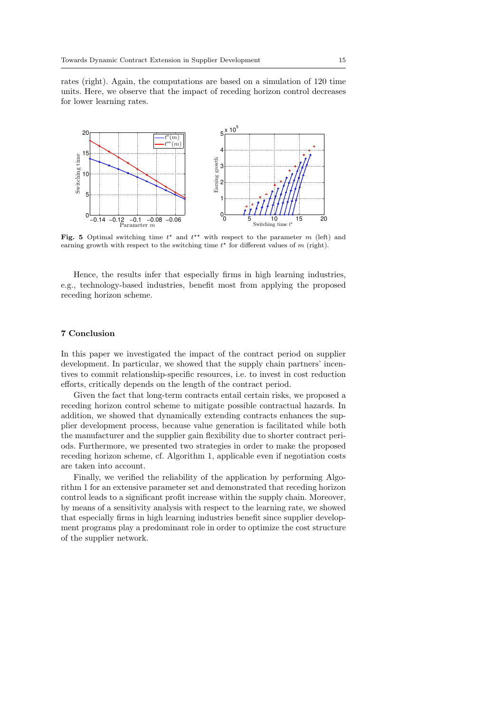rates (right). Again, the computations are based on a simulation of 120 time units. Here, we observe that the impact of receding horizon control decreases for lower learning rates.



Fig. 5 Optimal switching time  $t^*$  and  $t^{**}$  with respect to the parameter m (left) and earning growth with respect to the switching time  $t^*$  for different values of m (right).

Hence, the results infer that especially firms in high learning industries, e.g., technology-based industries, benefit most from applying the proposed receding horizon scheme.

## 7 Conclusion

In this paper we investigated the impact of the contract period on supplier development. In particular, we showed that the supply chain partners' incentives to commit relationship-specific resources, i.e. to invest in cost reduction efforts, critically depends on the length of the contract period.

Given the fact that long-term contracts entail certain risks, we proposed a receding horizon control scheme to mitigate possible contractual hazards. In addition, we showed that dynamically extending contracts enhances the supplier development process, because value generation is facilitated while both the manufacturer and the supplier gain flexibility due to shorter contract periods. Furthermore, we presented two strategies in order to make the proposed receding horizon scheme, cf. Algorithm 1, applicable even if negotiation costs are taken into account.

Finally, we verified the reliability of the application by performing Algorithm 1 for an extensive parameter set and demonstrated that receding horizon control leads to a significant profit increase within the supply chain. Moreover, by means of a sensitivity analysis with respect to the learning rate, we showed that especially firms in high learning industries benefit since supplier development programs play a predominant role in order to optimize the cost structure of the supplier network.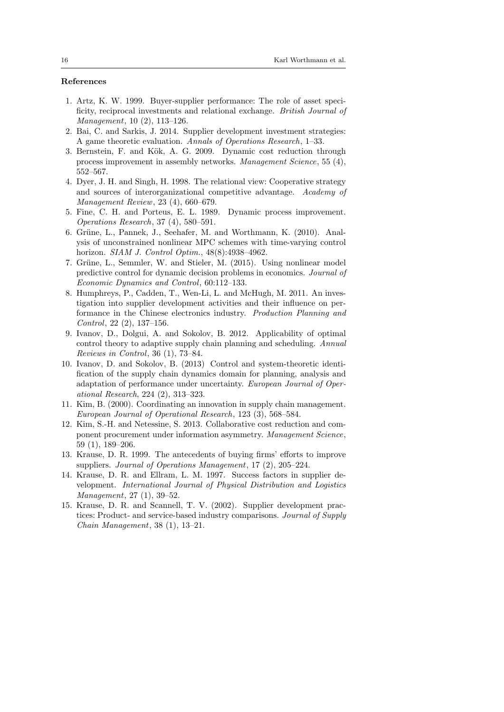# References

- 1. Artz, K. W. 1999. Buyer-supplier performance: The role of asset specificity, reciprocal investments and relational exchange. British Journal of Management, 10 (2), 113–126.
- 2. Bai, C. and Sarkis, J. 2014. Supplier development investment strategies: A game theoretic evaluation. Annals of Operations Research, 1–33.
- 3. Bernstein, F. and Kök, A. G. 2009. Dynamic cost reduction through process improvement in assembly networks. Management Science, 55 (4), 552–567.
- 4. Dyer, J. H. and Singh, H. 1998. The relational view: Cooperative strategy and sources of interorganizational competitive advantage. Academy of Management Review, 23 (4), 660–679.
- 5. Fine, C. H. and Porteus, E. L. 1989. Dynamic process improvement. Operations Research, 37 (4), 580–591.
- 6. Grüne, L., Pannek, J., Seehafer, M. and Worthmann, K. (2010). Analysis of unconstrained nonlinear MPC schemes with time-varying control horizon. SIAM J. Control Optim., 48(8):4938–4962.
- 7. Grüne, L., Semmler, W. and Stieler, M. (2015). Using nonlinear model predictive control for dynamic decision problems in economics. Journal of Economic Dynamics and Control, 60:112–133.
- 8. Humphreys, P., Cadden, T., Wen-Li, L. and McHugh, M. 2011. An investigation into supplier development activities and their influence on performance in the Chinese electronics industry. Production Planning and Control, 22 (2), 137–156.
- 9. Ivanov, D., Dolgui, A. and Sokolov, B. 2012. Applicability of optimal control theory to adaptive supply chain planning and scheduling. Annual Reviews in Control, 36 (1), 73–84.
- 10. Ivanov, D. and Sokolov, B. (2013) Control and system-theoretic identification of the supply chain dynamics domain for planning, analysis and adaptation of performance under uncertainty. European Journal of Operational Research, 224 (2), 313–323.
- 11. Kim, B. (2000). Coordinating an innovation in supply chain management. European Journal of Operational Research, 123 (3), 568–584.
- 12. Kim, S.-H. and Netessine, S. 2013. Collaborative cost reduction and component procurement under information asymmetry. Management Science, 59 (1), 189–206.
- 13. Krause, D. R. 1999. The antecedents of buying firms' efforts to improve suppliers. Journal of Operations Management, 17 (2), 205–224.
- 14. Krause, D. R. and Ellram, L. M. 1997. Success factors in supplier development. International Journal of Physical Distribution and Logistics Management, 27 (1), 39–52.
- 15. Krause, D. R. and Scannell, T. V. (2002). Supplier development practices: Product- and service-based industry comparisons. Journal of Supply Chain Management, 38 (1), 13–21.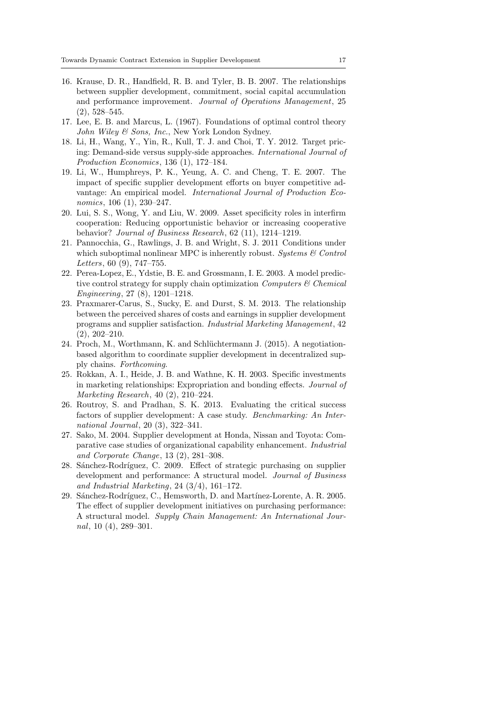- 16. Krause, D. R., Handfield, R. B. and Tyler, B. B. 2007. The relationships between supplier development, commitment, social capital accumulation and performance improvement. Journal of Operations Management, 25 (2), 528–545.
- 17. Lee, E. B. and Marcus, L. (1967). Foundations of optimal control theory John Wiley & Sons, Inc., New York London Sydney.
- 18. Li, H., Wang, Y., Yin, R., Kull, T. J. and Choi, T. Y. 2012. Target pricing: Demand-side versus supply-side approaches. International Journal of Production Economics, 136 (1), 172–184.
- 19. Li, W., Humphreys, P. K., Yeung, A. C. and Cheng, T. E. 2007. The impact of specific supplier development efforts on buyer competitive advantage: An empirical model. International Journal of Production Economics, 106 (1), 230–247.
- 20. Lui, S. S., Wong, Y. and Liu, W. 2009. Asset specificity roles in interfirm cooperation: Reducing opportunistic behavior or increasing cooperative behavior? Journal of Business Research, 62 (11), 1214–1219.
- 21. Pannocchia, G., Rawlings, J. B. and Wright, S. J. 2011 Conditions under which suboptimal nonlinear MPC is inherently robust. Systems  $\mathcal C$  Control Letters, 60 (9), 747–755.
- 22. Perea-Lopez, E., Ydstie, B. E. and Grossmann, I. E. 2003. A model predictive control strategy for supply chain optimization *Computers*  $\mathcal C$  *Chemical* Engineering, 27 (8), 1201–1218.
- 23. Praxmarer-Carus, S., Sucky, E. and Durst, S. M. 2013. The relationship between the perceived shares of costs and earnings in supplier development programs and supplier satisfaction. Industrial Marketing Management, 42 (2), 202–210.
- 24. Proch, M., Worthmann, K. and Schlüchtermann J. (2015). A negotiationbased algorithm to coordinate supplier development in decentralized supply chains. Forthcoming.
- 25. Rokkan, A. I., Heide, J. B. and Wathne, K. H. 2003. Specific investments in marketing relationships: Expropriation and bonding effects. Journal of Marketing Research, 40 (2), 210–224.
- 26. Routroy, S. and Pradhan, S. K. 2013. Evaluating the critical success factors of supplier development: A case study. Benchmarking: An International Journal, 20 (3), 322–341.
- 27. Sako, M. 2004. Supplier development at Honda, Nissan and Toyota: Comparative case studies of organizational capability enhancement. Industrial and Corporate Change, 13 (2), 281–308.
- 28. Sánchez-Rodríguez, C. 2009. Effect of strategic purchasing on supplier development and performance: A structural model. Journal of Business and Industrial Marketing, 24 (3/4), 161–172.
- 29. Sánchez-Rodríguez, C., Hemsworth, D. and Martínez-Lorente, A. R. 2005. The effect of supplier development initiatives on purchasing performance: A structural model. Supply Chain Management: An International Journal, 10 (4), 289–301.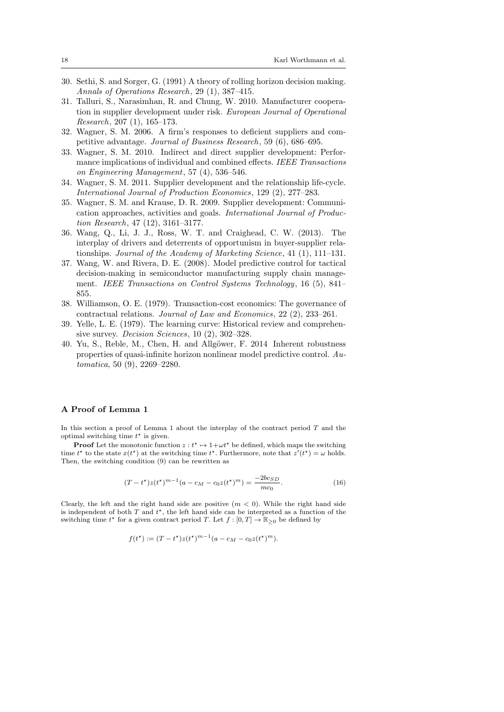- 30. Sethi, S. and Sorger, G. (1991) A theory of rolling horizon decision making. Annals of Operations Research, 29 (1), 387–415.
- 31. Talluri, S., Narasimhan, R. and Chung, W. 2010. Manufacturer cooperation in supplier development under risk. European Journal of Operational Research, 207 (1), 165–173.
- 32. Wagner, S. M. 2006. A firm's responses to deficient suppliers and competitive advantage. Journal of Business Research, 59 (6), 686–695.
- 33. Wagner, S. M. 2010. Indirect and direct supplier development: Performance implications of individual and combined effects. IEEE Transactions on Engineering Management, 57 (4), 536–546.
- 34. Wagner, S. M. 2011. Supplier development and the relationship life-cycle. International Journal of Production Economics, 129 (2), 277–283.
- 35. Wagner, S. M. and Krause, D. R. 2009. Supplier development: Communication approaches, activities and goals. International Journal of Production Research, 47 (12), 3161–3177.
- 36. Wang, Q., Li, J. J., Ross, W. T. and Craighead, C. W. (2013). The interplay of drivers and deterrents of opportunism in buyer-supplier relationships. Journal of the Academy of Marketing Science, 41 (1), 111–131.
- 37. Wang, W. and Rivera, D. E. (2008). Model predictive control for tactical decision-making in semiconductor manufacturing supply chain management. IEEE Transactions on Control Systems Technology, 16 (5), 841– 855.
- 38. Williamson, O. E. (1979). Transaction-cost economics: The governance of contractual relations. Journal of Law and Economics, 22 (2), 233–261.
- 39. Yelle, L. E. (1979). The learning curve: Historical review and comprehensive survey. Decision Sciences, 10 (2), 302–328.
- 40. Yu, S., Reble, M., Chen, H. and Allgöwer, F. 2014 Inherent robustness properties of quasi-infinite horizon nonlinear model predictive control. Automatica, 50 (9), 2269–2280.

## A Proof of Lemma 1

In this section a proof of Lemma 1 about the interplay of the contract period  $T$  and the optimal switching time  $t^*$  is given.

**Proof** Let the monotonic function  $z : t^* \mapsto 1 + \omega t^*$  be defined, which maps the switching time  $t^*$  to the state  $x(t^*)$  at the switching time  $t^*$ . Furthermore, note that  $z'(t^*) = \omega$  holds. Then, the switching condition (9) can be rewritten as

$$
(T - t^*)z(t^*)^{m-1}(a - c_M - c_0z(t^*)^m) = \frac{-2bc_{SD}}{mc_0}.
$$
\n(16)

Clearly, the left and the right hand side are positive  $(m < 0)$ . While the right hand side is independent of both  $T$  and  $t^*$ , the left hand side can be interpreted as a function of the switching time  $t^*$  for a given contract period T. Let  $f : [0, T] \to \mathbb{R}_{\geq 0}$  be defined by

$$
f(t^*) := (T - t^*)z(t^*)^{m-1}(a - c_M - c_0z(t^*)^m).
$$